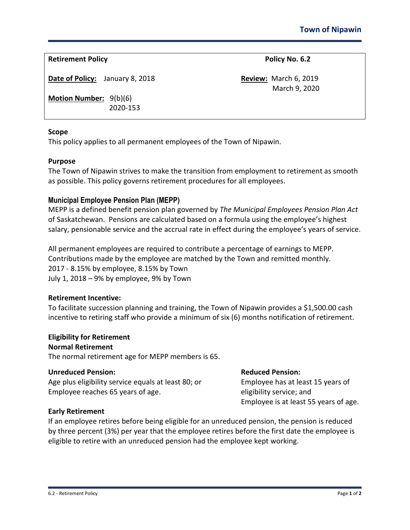**Retirement Policy Policy Policy Policy Policy Policy Policy Policy Policy Policy Policy Policy Policy Policy Policy Policy Policy Policy Policy Policy Policy Policy Policy Pol** 

**Date of Policy:** January 8, 2018 **Review:** March 6, 2019

March 9, 2020

**Motion Number:** 9(b)(6) 2020-153

#### **Scope**

This policy applies to all permanent employees of the Town of Nipawin.

## **Purpose**

The Town of Nipawin strives to make the transition from employment to retirement as smooth as possible. This policy governs retirement procedures for all employees.

# **Municipal Employee Pension Plan (MEPP)**

MEPP is a defined benefit pension plan governed by *The Municipal Employees Pension Plan Act*  of Saskatchewan. Pensions are calculated based on a formula using the employee's highest salary, pensionable service and the accrual rate in effect during the employee's years of service.

All permanent employees are required to contribute a percentage of earnings to MEPP. Contributions made by the employee are matched by the Town and remitted monthly. 2017 - 8.15% by employee, 8.15% by Town July 1, 2018 – 9% by employee, 9% by Town

# **Retirement Incentive:**

To facilitate succession planning and training, the Town of Nipawin provides a \$1,500.00 cash incentive to retiring staff who provide a minimum of six (6) months notification of retirement.

#### **Eligibility for Retirement Normal Retirement**

The normal retirement age for MEPP members is 65.

### **Unreduced Pension: Reduced Pension:**

Age plus eligibility service equals at least 80; or Employee has at least 15 years of Employee reaches 65 years of age. eligibility service; and

Employee is at least 55 years of age.

# **Early Retirement**

If an employee retires before being eligible for an unreduced pension, the pension is reduced by three percent (3%) per year that the employee retires before the first date the employee is eligible to retire with an unreduced pension had the employee kept working.